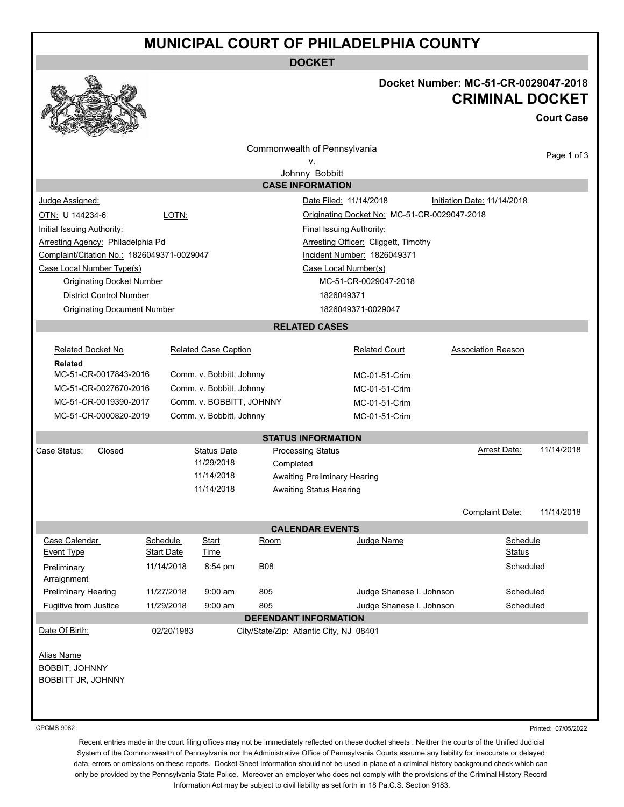## **MUNICIPAL COURT OF PHILADELPHIA COUNTY**

**DOCKET**



## **Docket Number: MC-51-CR-0029047-2018 CRIMINAL DOCKET**

**Court Case**

| Commonwealth of Pennsylvania<br>v.         |                               |                             |            |                                              |  |                             | Page 1 of 3         |  |
|--------------------------------------------|-------------------------------|-----------------------------|------------|----------------------------------------------|--|-----------------------------|---------------------|--|
| Johnny Bobbitt                             |                               |                             |            |                                              |  |                             |                     |  |
|                                            |                               |                             |            | <b>CASE INFORMATION</b>                      |  |                             |                     |  |
| Judge Assigned:                            |                               |                             |            | Date Filed: 11/14/2018                       |  | Initiation Date: 11/14/2018 |                     |  |
| OTN: U 144234-6                            | LOTN:                         |                             |            | Originating Docket No: MC-51-CR-0029047-2018 |  |                             |                     |  |
| <b>Initial Issuing Authority:</b>          |                               |                             |            | <b>Final Issuing Authority:</b>              |  |                             |                     |  |
| Arresting Agency: Philadelphia Pd          |                               |                             |            | Arresting Officer: Cliggett, Timothy         |  |                             |                     |  |
| Complaint/Citation No.: 1826049371-0029047 |                               |                             |            | Incident Number: 1826049371                  |  |                             |                     |  |
| Case Local Number Type(s)                  |                               |                             |            | Case Local Number(s)                         |  |                             |                     |  |
| <b>Originating Docket Number</b>           |                               |                             |            | MC-51-CR-0029047-2018                        |  |                             |                     |  |
| <b>District Control Number</b>             |                               |                             |            | 1826049371                                   |  |                             |                     |  |
| <b>Originating Document Number</b>         |                               |                             |            | 1826049371-0029047                           |  |                             |                     |  |
|                                            |                               |                             |            | <b>RELATED CASES</b>                         |  |                             |                     |  |
|                                            |                               |                             |            |                                              |  |                             |                     |  |
| <b>Related Docket No</b>                   |                               | <b>Related Case Caption</b> |            | <b>Related Court</b>                         |  | <b>Association Reason</b>   |                     |  |
| Related<br>MC-51-CR-0017843-2016           |                               |                             |            |                                              |  |                             |                     |  |
|                                            |                               | Comm. v. Bobbitt, Johnny    |            | MC-01-51-Crim                                |  |                             |                     |  |
| MC-51-CR-0027670-2016                      |                               | Comm. v. Bobbitt, Johnny    |            | MC-01-51-Crim                                |  |                             |                     |  |
| MC-51-CR-0019390-2017                      |                               | Comm. v. BOBBITT, JOHNNY    |            | MC-01-51-Crim                                |  |                             |                     |  |
| MC-51-CR-0000820-2019                      |                               | Comm. v. Bobbitt, Johnny    |            | MC-01-51-Crim                                |  |                             |                     |  |
|                                            |                               |                             |            | <b>STATUS INFORMATION</b>                    |  |                             |                     |  |
| Case Status:<br>Closed                     |                               | <b>Status Date</b>          |            | <b>Processing Status</b>                     |  | Arrest Date:                | 11/14/2018          |  |
|                                            |                               | 11/29/2018                  | Completed  |                                              |  |                             |                     |  |
|                                            |                               | 11/14/2018                  |            | Awaiting Preliminary Hearing                 |  |                             |                     |  |
|                                            |                               | 11/14/2018                  |            | <b>Awaiting Status Hearing</b>               |  |                             |                     |  |
|                                            |                               |                             |            |                                              |  | Complaint Date:             | 11/14/2018          |  |
|                                            |                               |                             |            |                                              |  |                             |                     |  |
|                                            |                               |                             |            | <b>CALENDAR EVENTS</b>                       |  |                             |                     |  |
| Case Calendar<br><b>Event Type</b>         | Schedule<br><b>Start Date</b> | Start<br>Time               | Room       | Judge Name                                   |  | Schedule<br>Status          |                     |  |
| Preliminary                                | 11/14/2018                    | 8:54 pm                     | <b>B08</b> |                                              |  | Scheduled                   |                     |  |
| Arraignment                                |                               |                             |            |                                              |  |                             |                     |  |
| <b>Preliminary Hearing</b>                 | 11/27/2018                    | $9:00$ am                   | 805        | Judge Shanese I. Johnson                     |  | Scheduled                   |                     |  |
| Fugitive from Justice                      | 11/29/2018                    | $9:00$ am                   | 805        | Judge Shanese I. Johnson                     |  | Scheduled                   |                     |  |
|                                            |                               |                             |            | DEFENDANT INFORMATION                        |  |                             |                     |  |
| Date Of Birth:                             | 02/20/1983                    |                             |            | City/State/Zip: Atlantic City, NJ 08401      |  |                             |                     |  |
|                                            |                               |                             |            |                                              |  |                             |                     |  |
| Alias Name                                 |                               |                             |            |                                              |  |                             |                     |  |
| <b>BOBBIT, JOHNNY</b>                      |                               |                             |            |                                              |  |                             |                     |  |
| <b>BOBBITT JR, JOHNNY</b>                  |                               |                             |            |                                              |  |                             |                     |  |
|                                            |                               |                             |            |                                              |  |                             |                     |  |
|                                            |                               |                             |            |                                              |  |                             |                     |  |
| <b>CPCMS 9082</b>                          |                               |                             |            |                                              |  |                             | Printed: 07/05/2022 |  |

Recent entries made in the court filing offices may not be immediately reflected on these docket sheets . Neither the courts of the Unified Judicial System of the Commonwealth of Pennsylvania nor the Administrative Office of Pennsylvania Courts assume any liability for inaccurate or delayed data, errors or omissions on these reports. Docket Sheet information should not be used in place of a criminal history background check which can only be provided by the Pennsylvania State Police. Moreover an employer who does not comply with the provisions of the Criminal History Record Information Act may be subject to civil liability as set forth in 18 Pa.C.S. Section 9183.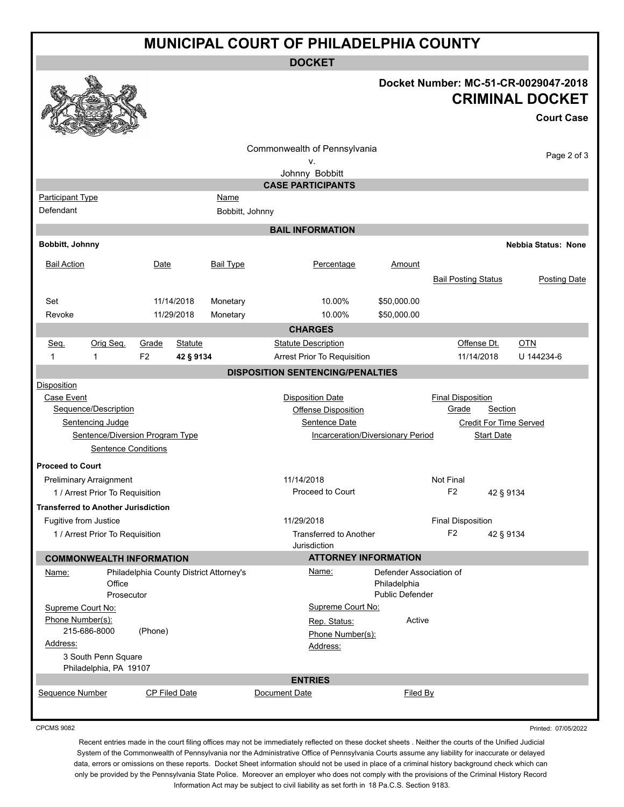## **MUNICIPAL COURT OF PHILADELPHIA COUNTY**

**DOCKET**

|                         |                                            |                |                |                                         |                                                        |                                         |                 |                         |                               | Docket Number: MC-51-CR-0029047-2018<br><b>CRIMINAL DOCKET</b> |
|-------------------------|--------------------------------------------|----------------|----------------|-----------------------------------------|--------------------------------------------------------|-----------------------------------------|-----------------|-------------------------|-------------------------------|----------------------------------------------------------------|
|                         |                                            |                |                |                                         |                                                        |                                         |                 |                         |                               | <b>Court Case</b>                                              |
|                         |                                            |                |                |                                         |                                                        |                                         |                 |                         |                               |                                                                |
|                         |                                            |                |                |                                         |                                                        | Commonwealth of Pennsylvania            |                 |                         |                               |                                                                |
|                         |                                            |                |                |                                         |                                                        | ٧.                                      |                 |                         |                               | Page 2 of 3                                                    |
|                         |                                            |                |                |                                         |                                                        | Johnny Bobbitt                          |                 |                         |                               |                                                                |
|                         |                                            |                |                |                                         |                                                        | <b>CASE PARTICIPANTS</b>                |                 |                         |                               |                                                                |
| <b>Participant Type</b> |                                            |                |                | <b>Name</b>                             |                                                        |                                         |                 |                         |                               |                                                                |
| Defendant               |                                            |                |                | Bobbitt, Johnny                         |                                                        |                                         |                 |                         |                               |                                                                |
|                         |                                            |                |                |                                         |                                                        | <b>BAIL INFORMATION</b>                 |                 |                         |                               |                                                                |
| Bobbitt, Johnny         |                                            |                |                |                                         |                                                        |                                         |                 |                         |                               | <b>Nebbia Status: None</b>                                     |
| <b>Bail Action</b>      |                                            | Date           |                | <b>Bail Type</b>                        |                                                        | Percentage                              | Amount          |                         |                               |                                                                |
|                         |                                            |                |                |                                         |                                                        |                                         |                 |                         | <b>Bail Posting Status</b>    | <b>Posting Date</b>                                            |
|                         |                                            |                |                |                                         |                                                        |                                         |                 |                         |                               |                                                                |
| Set                     |                                            |                | 11/14/2018     | Monetary                                |                                                        | 10.00%                                  | \$50,000.00     |                         |                               |                                                                |
| Revoke                  |                                            |                | 11/29/2018     | Monetary                                |                                                        | 10.00%                                  | \$50,000.00     |                         |                               |                                                                |
|                         |                                            |                |                |                                         |                                                        | <b>CHARGES</b>                          |                 |                         |                               |                                                                |
| Seq.                    | Orig Seq.                                  | Grade          | <b>Statute</b> |                                         |                                                        | <b>Statute Description</b>              |                 |                         | Offense Dt.                   | <b>OTN</b>                                                     |
| 1                       | $\mathbf{1}$                               | F <sub>2</sub> | 42 § 9134      |                                         |                                                        | Arrest Prior To Requisition             |                 |                         | 11/14/2018                    | U 144234-6                                                     |
|                         |                                            |                |                |                                         |                                                        | <b>DISPOSITION SENTENCING/PENALTIES</b> |                 |                         |                               |                                                                |
| Disposition             |                                            |                |                |                                         |                                                        |                                         |                 |                         |                               |                                                                |
| Case Event              |                                            |                |                |                                         |                                                        | <b>Disposition Date</b>                 |                 |                         | <b>Final Disposition</b>      |                                                                |
|                         | Sequence/Description                       |                |                |                                         |                                                        | Offense Disposition                     |                 |                         | Grade<br><b>Section</b>       |                                                                |
|                         | Sentencing Judge                           |                |                |                                         |                                                        | Sentence Date                           |                 |                         | <b>Credit For Time Served</b> |                                                                |
|                         | Sentence/Diversion Program Type            |                |                |                                         | <b>Incarceration/Diversionary Period</b><br>Start Date |                                         |                 |                         |                               |                                                                |
|                         | <b>Sentence Conditions</b>                 |                |                |                                         |                                                        |                                         |                 |                         |                               |                                                                |
| <b>Proceed to Court</b> |                                            |                |                |                                         |                                                        |                                         |                 |                         |                               |                                                                |
|                         | Preliminary Arraignment                    |                |                |                                         | 11/14/2018                                             |                                         |                 | Not Final               |                               |                                                                |
|                         | 1 / Arrest Prior To Requisition            |                |                |                                         | Proceed to Court                                       |                                         |                 | F2                      |                               | 42 § 9134                                                      |
|                         | <b>Transferred to Another Jurisdiction</b> |                |                |                                         |                                                        |                                         |                 |                         |                               |                                                                |
| Fugitive from Justice   |                                            |                |                |                                         | 11/29/2018                                             |                                         |                 |                         | <b>Final Disposition</b>      |                                                                |
|                         | 1 / Arrest Prior To Requisition            |                |                |                                         |                                                        | <b>Transferred to Another</b>           |                 | F <sub>2</sub>          |                               | 42 § 9134                                                      |
|                         |                                            |                |                |                                         |                                                        | Jurisdiction                            |                 |                         |                               |                                                                |
|                         | <b>COMMONWEALTH INFORMATION</b>            |                |                |                                         |                                                        | <b>ATTORNEY INFORMATION</b>             |                 |                         |                               |                                                                |
| <u>Name:</u>            |                                            |                |                | Philadelphia County District Attorney's |                                                        | <u>Name:</u>                            |                 | Defender Association of |                               |                                                                |
|                         | Office                                     |                |                |                                         |                                                        |                                         | Philadelphia    |                         |                               |                                                                |
|                         | Prosecutor                                 |                |                |                                         |                                                        |                                         | Public Defender |                         |                               |                                                                |
| Supreme Court No:       |                                            |                |                |                                         |                                                        | Supreme Court No:                       |                 |                         |                               |                                                                |
| Phone Number(s):        |                                            | (Phone)        |                |                                         |                                                        | Rep. Status:                            |                 | Active                  |                               |                                                                |
| Address:                | 215-686-8000                               |                |                |                                         |                                                        | Phone Number(s):                        |                 |                         |                               |                                                                |
|                         | 3 South Penn Square                        |                |                |                                         |                                                        | Address:                                |                 |                         |                               |                                                                |
|                         | Philadelphia, PA 19107                     |                |                |                                         |                                                        |                                         |                 |                         |                               |                                                                |
|                         |                                            |                |                |                                         |                                                        | <b>ENTRIES</b>                          |                 |                         |                               |                                                                |
| Sequence Number         |                                            |                | CP Filed Date  |                                         | Document Date                                          |                                         |                 | Filed By                |                               |                                                                |
|                         |                                            |                |                |                                         |                                                        |                                         |                 |                         |                               |                                                                |
|                         |                                            |                |                |                                         |                                                        |                                         |                 |                         |                               |                                                                |

CPCMS 9082

Printed: 07/05/2022

Recent entries made in the court filing offices may not be immediately reflected on these docket sheets . Neither the courts of the Unified Judicial System of the Commonwealth of Pennsylvania nor the Administrative Office of Pennsylvania Courts assume any liability for inaccurate or delayed data, errors or omissions on these reports. Docket Sheet information should not be used in place of a criminal history background check which can only be provided by the Pennsylvania State Police. Moreover an employer who does not comply with the provisions of the Criminal History Record Information Act may be subject to civil liability as set forth in 18 Pa.C.S. Section 9183.